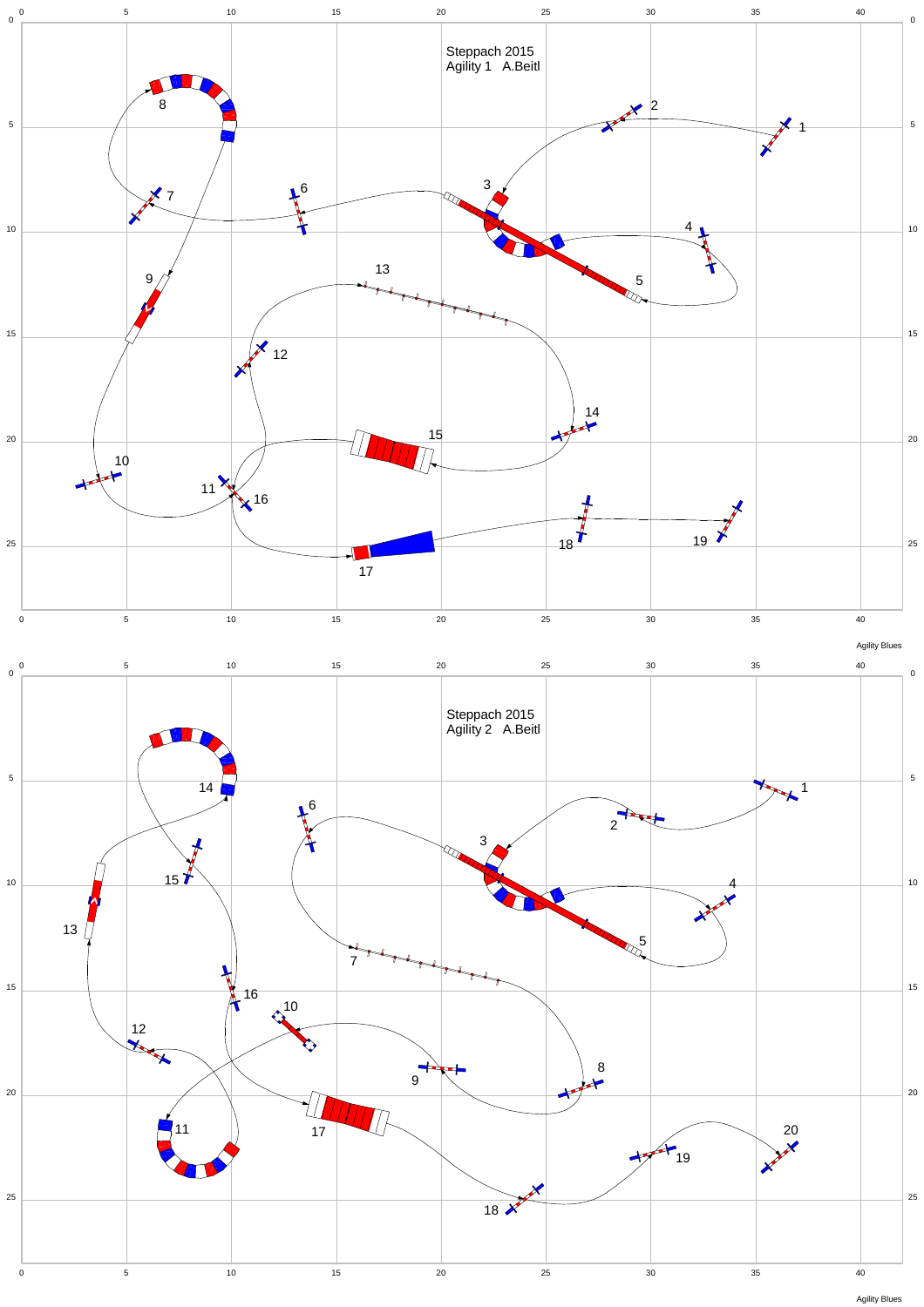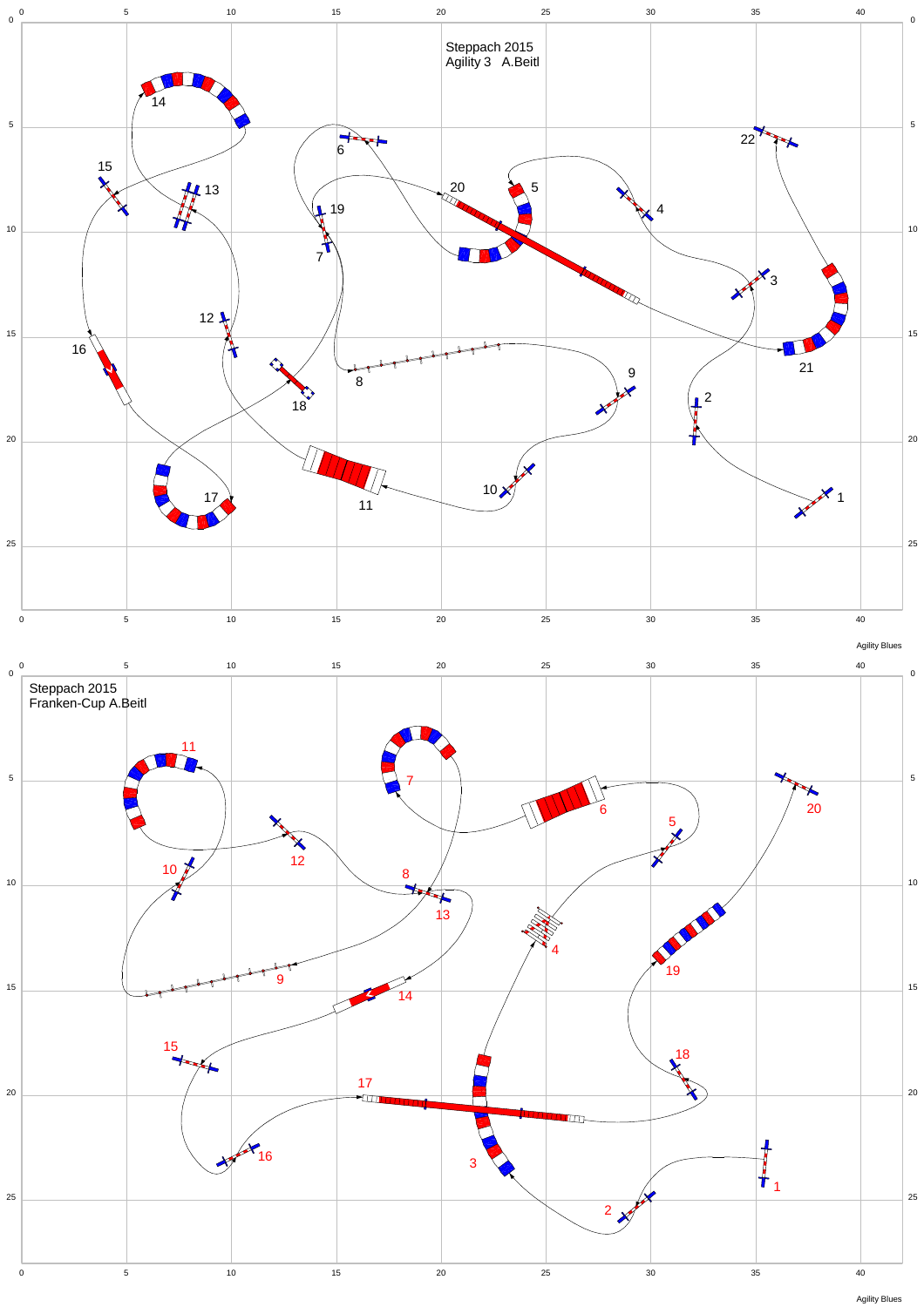

Agility Blues